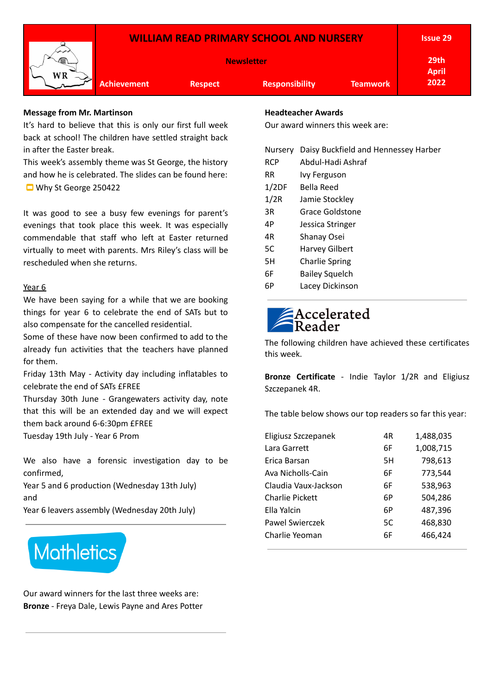|                                                                                  | <b>Issue 29</b>      |
|----------------------------------------------------------------------------------|----------------------|
| <b>Newsletter</b>                                                                | 29th<br><b>April</b> |
| <b>Achievement</b><br><b>Responsibility</b><br><b>Teamwork</b><br><b>Respect</b> | 2022                 |

### **Message from Mr. Martinson**

It's hard to believe that this is only our first full week back at school! The children have settled straight back in after the Easter break.

This week's assembly theme was St George, the history and how he is celebrated. The slides can be found here: Why St George [250422](https://docs.google.com/presentation/d/1Cr0qpro_U70sCX3sCGGicILzxtVfgWS6oVoOGnGl1ys/edit?usp=sharing)

It was good to see a busy few evenings for parent's evenings that took place this week. It was especially commendable that staff who left at Easter returned virtually to meet with parents. Mrs Riley's class will be rescheduled when she returns.

### Year 6

We have been saying for a while that we are booking things for year 6 to celebrate the end of SATs but to also compensate for the cancelled residential.

Some of these have now been confirmed to add to the already fun activities that the teachers have planned for them.

Friday 13th May - Activity day including inflatables to celebrate the end of SATs £FREE

Thursday 30th June - Grangewaters activity day, note that this will be an extended day and we will expect them back around 6-6:30pm £FREE

Tuesday 19th July - Year 6 Prom

We also have a forensic investigation day to be confirmed,

Year 5 and 6 production (Wednesday 13th July) and

Year 6 leavers assembly (Wednesday 20th July)



Our award winners for the last three weeks are: **Bronze** - Freya Dale, Lewis Payne and Ares Potter

### **Headteacher Awards**

Our award winners this week are:

| Nursery    | Daisy Buckfield and Hennessey Harber |
|------------|--------------------------------------|
| <b>RCP</b> | Abdul-Hadi Ashraf                    |
| <b>RR</b>  | Ivy Ferguson                         |
| 1/2DF      | Bella Reed                           |
| 1/2R       | Jamie Stockley                       |
| 3R         | Grace Goldstone                      |
| 4P         | Jessica Stringer                     |
| 4R         | Shanay Osei                          |
| 5C         | Harvey Gilbert                       |
| 5H         | <b>Charlie Spring</b>                |
| 6F         | <b>Bailey Squelch</b>                |
| 6P         | Lacey Dickinson                      |
|            |                                      |

# Accelerated

The following children have achieved these certificates this week.

**Bronze Certificate** - Indie Taylor 1/2R and Eligiusz Szczepanek 4R.

The table below shows our top readers so far this year:

| Eligiusz Szczepanek    | 4R | 1,488,035 |
|------------------------|----|-----------|
| Lara Garrett           | 6F | 1,008,715 |
| Erica Barsan           | 5H | 798,613   |
| Ava Nicholls-Cain      | 6F | 773,544   |
| Claudia Vaux-Jackson   | 6F | 538,963   |
| <b>Charlie Pickett</b> | 6P | 504,286   |
| Ella Yalcin            | 6P | 487,396   |
| Pawel Swierczek        | 5C | 468,830   |
| Charlie Yeoman         | 6F | 466,424   |
|                        |    |           |